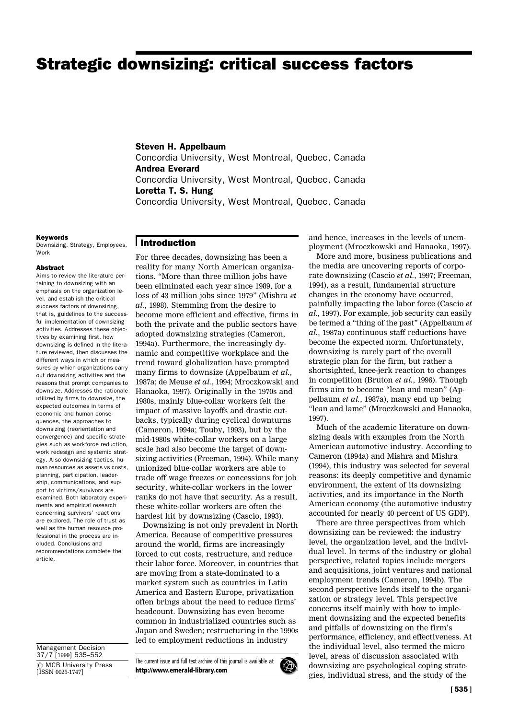# Strategic downsizing: critical success factors

Steven H. Appelbaum Concordia University, West Montreal, Quebec, Canada Andrea Everard Concordia University, West Montreal, Quebec, Canada Loretta T. S. Hung Concordia University, West Montreal, Quebec, Canada

#### Keywords

Downsizing, Strategy, Employees, **Work** 

#### Abstract

Aims to review the literature pertaining to downsizing with an emphasis on the organization level, and establish the critical success factors of downsizing, that is, guidelines to the successful implementation of downsizing activities. Addresses these objectives by examining first, how downsizing is defined in the literature reviewed, then discusses the different ways in which or measures by which organizations carry out downsizing activities and the reasons that prompt companies to downsize. Addresses the rationale utilized by firms to downsize, the expected outcomes in terms of economic and human consequences, the approaches to downsizing (reorientation and convergence) and specific strategies such as workforce reduction, work redesign and systemic strategy. Also downsizing tactics, human resources as assets vs costs, planning, participation, leadership, communications, and support to victims/survivors are examined. Both laboratory experiments and empirical research concerning survivors' reactions are explored. The role of trust as well as the human resource professional in the process are included. Conclusions and recommendations complete the article.

Management Decision<br>37/7 [1999] 535–552  $\overline{\circledcirc}$  MCB University Press [ISSN 0025-1747]

# Introduction

For three decades, downsizing has been a reality for many North American organizations. "More than three million jobs have been eliminated each year since 1989, for a loss of 43 million jobs since 1979'' (Mishra et al., 1998). Stemming from the desire to become more efficient and effective, firms in both the private and the public sectors have adopted downsizing strategies (Cameron, 1994a). Furthermore, the increasingly dynamic and competitive workplace and the trend toward globalization have prompted many firms to downsize (Appelbaum et al., 1987a; de Meuse et al., 1994; Mroczkowski and Hanaoka, 1997). Originally in the 1970s and 1980s, mainly blue-collar workers felt the impact of massive layoffs and drastic cutbacks, typically during cyclical downturns (Cameron, 1994a; Touby, 1993), but by the mid-1980s white-collar workers on a large scale had also become the target of downsizing activities (Freeman, 1994). While many unionized blue-collar workers are able to trade off wage freezes or concessions for job security, white-collar workers in the lower ranks do not have that security. As a result, these white-collar workers are often the hardest hit by downsizing (Cascio, 1993).

Downsizing is not only prevalent in North America. Because of competitive pressures around the world, firms are increasingly forced to cut costs, restructure, and reduce their labor force. Moreover, in countries that are moving from a state-dominated to a market system such as countries in Latin America and Eastern Europe, privatization often brings about the need to reduce firms' headcount. Downsizing has even become common in industrialized countries such as Japan and Sweden; restructuring in the 1990s led to employment reductions in industry

The current issue and full text archive of this journal is available at http://www.emerald-library.com



and hence, increases in the levels of unemployment (Mroczkowski and Hanaoka, 1997).

More and more, business publications and the media are uncovering reports of corporate downsizing (Cascio et al., 1997; Freeman, 1994), as a result, fundamental structure changes in the economy have occurred, painfully impacting the labor force (Cascio et al., 1997). For example, job security can easily be termed a "thing of the past" (Appelbaum  $et$ al., 1987a) continuous staff reductions have become the expected norm. Unfortunately, downsizing is rarely part of the overall strategic plan for the firm, but rather a shortsighted, knee-jerk reaction to changes in competition (Bruton et al., 1996). Though firms aim to become "lean and mean" (Appelbaum et al., 1987a), many end up being ``lean and lame'' (Mroczkowski and Hanaoka, 1997).

Much of the academic literature on downsizing deals with examples from the North American automotive industry. According to Cameron (1994a) and Mishra and Mishra (1994), this industry was selected for several reasons: its deeply competitive and dynamic environment, the extent of its downsizing activities, and its importance in the North American economy (the automotive industry accounted for nearly 40 percent of US GDP).

There are three perspectives from which downsizing can be reviewed: the industry level, the organization level, and the individual level. In terms of the industry or global perspective, related topics include mergers and acquisitions, joint ventures and national employment trends (Cameron, 1994b). The second perspective lends itself to the organization or strategy level. This perspective concerns itself mainly with how to implement downsizing and the expected benefits and pitfalls of downsizing on the firm's performance, efficiency, and effectiveness. At the individual level, also termed the micro level, areas of discussion associated with downsizing are psychological coping strategies, individual stress, and the study of the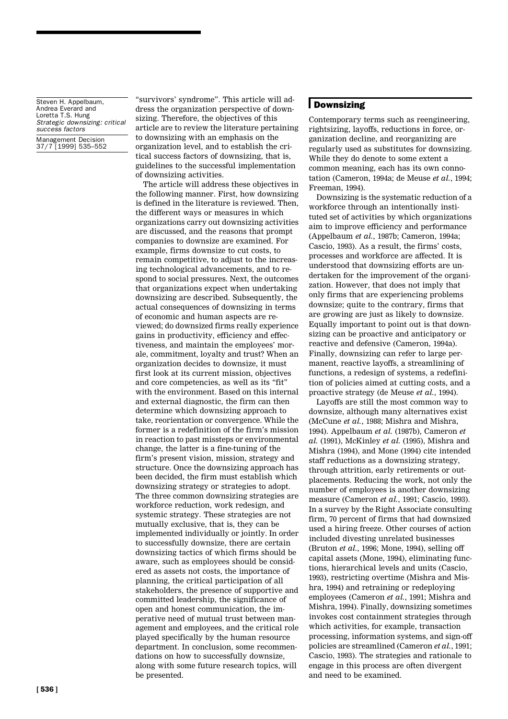Management Decision<br>37/7 [1999] 535–552

``survivors' syndrome''. This article will address the organization perspective of downsizing. Therefore, the objectives of this article are to review the literature pertaining to downsizing with an emphasis on the organization level, and to establish the critical success factors of downsizing, that is, guidelines to the successful implementation of downsizing activities.

The article will address these objectives in the following manner. First, how downsizing is defined in the literature is reviewed. Then, the different ways or measures in which organizations carry out downsizing activities are discussed, and the reasons that prompt companies to downsize are examined. For example, firms downsize to cut costs, to remain competitive, to adjust to the increasing technological advancements, and to respond to social pressures. Next, the outcomes that organizations expect when undertaking downsizing are described. Subsequently, the actual consequences of downsizing in terms of economic and human aspects are reviewed; do downsized firms really experience gains in productivity, efficiency and effectiveness, and maintain the employees' morale, commitment, loyalty and trust? When an organization decides to downsize, it must first look at its current mission, objectives and core competencies, as well as its "fit" with the environment. Based on this internal and external diagnostic, the firm can then determine which downsizing approach to take, reorientation or convergence. While the former is a redefinition of the firm's mission in reaction to past missteps or environmental change, the latter is a fine-tuning of the firm's present vision, mission, strategy and structure. Once the downsizing approach has been decided, the firm must establish which downsizing strategy or strategies to adopt. The three common downsizing strategies are workforce reduction, work redesign, and systemic strategy. These strategies are not mutually exclusive, that is, they can be implemented individually or jointly. In order to successfully downsize, there are certain downsizing tactics of which firms should be aware, such as employees should be considered as assets not costs, the importance of planning, the critical participation of all stakeholders, the presence of supportive and committed leadership, the significance of open and honest communication, the imperative need of mutual trust between management and employees, and the critical role played specifically by the human resource department. In conclusion, some recommendations on how to successfully downsize, along with some future research topics, will be presented.

# Downsizing

Contemporary terms such as reengineering, rightsizing, layoffs, reductions in force, organization decline, and reorganizing are regularly used as substitutes for downsizing. While they do denote to some extent a common meaning, each has its own connotation (Cameron, 1994a; de Meuse et al., 1994; Freeman, 1994).

Downsizing is the systematic reduction of a workforce through an intentionally instituted set of activities by which organizations aim to improve efficiency and performance (Appelbaum et al., 1987b; Cameron, 1994a; Cascio, 1993). As a result, the firms' costs, processes and workforce are affected. It is understood that downsizing efforts are undertaken for the improvement of the organization. However, that does not imply that only firms that are experiencing problems downsize; quite to the contrary, firms that are growing are just as likely to downsize. Equally important to point out is that downsizing can be proactive and anticipatory or reactive and defensive (Cameron, 1994a). Finally, downsizing can refer to large permanent, reactive layoffs, a streamlining of functions, a redesign of systems, a redefinition of policies aimed at cutting costs, and a proactive strategy (de Meuse et al., 1994).

Layoffs are still the most common way to downsize, although many alternatives exist (McCune et al., 1988; Mishra and Mishra, 1994). Appelbaum et al. (1987b), Cameron et  $al.$  (1991), McKinley et al. (1995), Mishra and Mishra (1994), and Mone (1994) cite intended staff reductions as a downsizing strategy, through attrition, early retirements or outplacements. Reducing the work, not only the number of employees is another downsizing measure (Cameron et al., 1991; Cascio, 1993). In a survey by the Right Associate consulting firm, 70 percent of firms that had downsized used a hiring freeze. Other courses of action included divesting unrelated businesses (Bruton  $et$   $al$ , 1996; Mone, 1994), selling off capital assets (Mone, 1994), eliminating functions, hierarchical levels and units (Cascio, 1993), restricting overtime (Mishra and Mishra, 1994) and retraining or redeploying employees (Cameron et al., 1991; Mishra and Mishra, 1994). Finally, downsizing sometimes invokes cost containment strategies through which activities, for example, transaction processing, information systems, and sign-off policies are streamlined (Cameron et al., 1991; Cascio, 1993). The strategies and rationale to engage in this process are often divergent and need to be examined.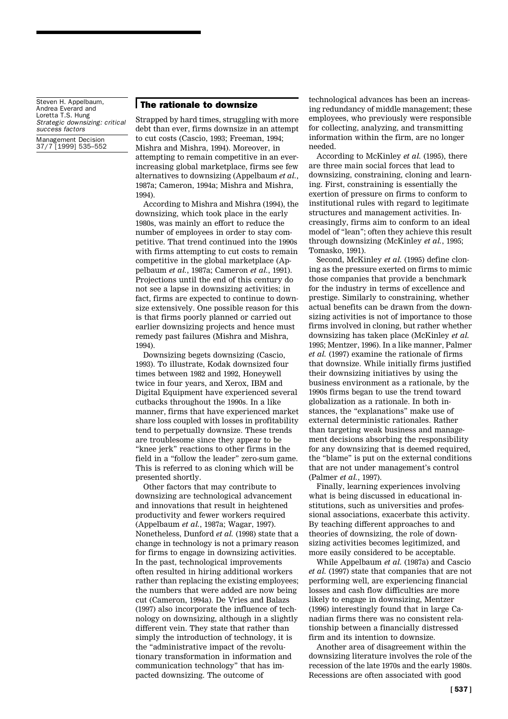Management Decision 37/7 [1999] 535±552

# The rationale to downsize

Strapped by hard times, struggling with more debt than ever, firms downsize in an attempt to cut costs (Cascio, 1993; Freeman, 1994; Mishra and Mishra, 1994). Moreover, in attempting to remain competitive in an everincreasing global marketplace, firms see few alternatives to downsizing (Appelbaum et al., 1987a; Cameron, 1994a; Mishra and Mishra, 1994).

According to Mishra and Mishra (1994), the downsizing, which took place in the early 1980s, was mainly an effort to reduce the number of employees in order to stay competitive. That trend continued into the 1990s with firms attempting to cut costs to remain competitive in the global marketplace (Appelbaum et al., 1987a; Cameron et al., 1991). Projections until the end of this century do not see a lapse in downsizing activities; in fact, firms are expected to continue to downsize extensively. One possible reason for this is that firms poorly planned or carried out earlier downsizing projects and hence must remedy past failures (Mishra and Mishra, 1994).

Downsizing begets downsizing (Cascio, 1993). To illustrate, Kodak downsized four times between 1982 and 1992, Honeywell twice in four years, and Xerox, IBM and Digital Equipment have experienced several cutbacks throughout the 1990s. In a like manner, firms that have experienced market share loss coupled with losses in profitability tend to perpetually downsize. These trends are troublesome since they appear to be "knee jerk" reactions to other firms in the field in a "follow the leader" zero-sum game. This is referred to as cloning which will be presented shortly.

Other factors that may contribute to downsizing are technological advancement and innovations that result in heightened productivity and fewer workers required (Appelbaum et al., 1987a; Wagar, 1997). Nonetheless, Dunford et al. (1998) state that a change in technology is not a primary reason for firms to engage in downsizing activities. In the past, technological improvements often resulted in hiring additional workers rather than replacing the existing employees; the numbers that were added are now being cut (Cameron, 1994a). De Vries and Balazs (1997) also incorporate the influence of technology on downsizing, although in a slightly different vein. They state that rather than simply the introduction of technology, it is the "administrative impact of the revolutionary transformation in information and communication technology'' that has impacted downsizing. The outcome of

technological advances has been an increasing redundancy of middle management; these employees, who previously were responsible for collecting, analyzing, and transmitting information within the firm, are no longer needed.

According to McKinley et al. (1995), there are three main social forces that lead to downsizing, constraining, cloning and learning. First, constraining is essentially the exertion of pressure on firms to conform to institutional rules with regard to legitimate structures and management activities. Increasingly, firms aim to conform to an ideal model of "lean"; often they achieve this result through downsizing (McKinley et al., 1995; Tomasko, 1991).

Second, McKinley et al. (1995) define cloning as the pressure exerted on firms to mimic those companies that provide a benchmark for the industry in terms of excellence and prestige. Similarly to constraining, whether actual benefits can be drawn from the downsizing activities is not of importance to those firms involved in cloning, but rather whether downsizing has taken place (McKinley et al. 1995; Mentzer, 1996). In a like manner, Palmer et al. (1997) examine the rationale of firms that downsize. While initially firms justified their downsizing initiatives by using the business environment as a rationale, by the 1990s firms began to use the trend toward globalization as a rationale. In both instances, the "explanations" make use of external deterministic rationales. Rather than targeting weak business and management decisions absorbing the responsibility for any downsizing that is deemed required, the "blame" is put on the external conditions that are not under management's control (Palmer et al., 1997).

Finally, learning experiences involving what is being discussed in educational institutions, such as universities and professional associations, exacerbate this activity. By teaching different approaches to and theories of downsizing, the role of downsizing activities becomes legitimized, and more easily considered to be acceptable.

While Appelbaum et al. (1987a) and Cascio et al. (1997) state that companies that are not performing well, are experiencing financial losses and cash flow difficulties are more likely to engage in downsizing, Mentzer (1996) interestingly found that in large Canadian firms there was no consistent relationship between a financially distressed firm and its intention to downsize.

Another area of disagreement within the downsizing literature involves the role of the recession of the late 1970s and the early 1980s. Recessions are often associated with good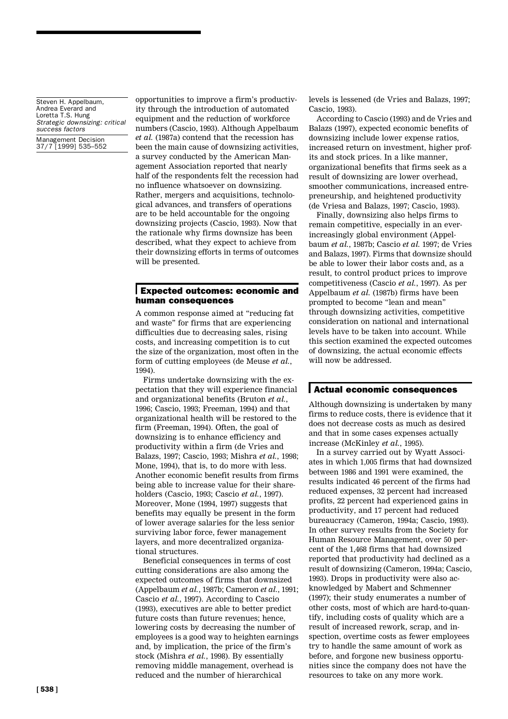Management Decision<br>37/7 [1999] 535–552

opportunities to improve a firm's productivity through the introduction of automated equipment and the reduction of workforce numbers (Cascio, 1993). Although Appelbaum et al. (1987a) contend that the recession has been the main cause of downsizing activities, a survey conducted by the American Management Association reported that nearly half of the respondents felt the recession had no influence whatsoever on downsizing. Rather, mergers and acquisitions, technological advances, and transfers of operations are to be held accountable for the ongoing downsizing projects (Cascio, 1993). Now that the rationale why firms downsize has been described, what they expect to achieve from their downsizing efforts in terms of outcomes will be presented.

## Expected outcomes: economic and human consequences

A common response aimed at "reducing fat and waste'' for firms that are experiencing difficulties due to decreasing sales, rising costs, and increasing competition is to cut the size of the organization, most often in the form of cutting employees (de Meuse et al., 1994).

Firms undertake downsizing with the expectation that they will experience financial and organizational benefits (Bruton et al., 1996; Cascio, 1993; Freeman, 1994) and that organizational health will be restored to the firm (Freeman, 1994). Often, the goal of downsizing is to enhance efficiency and productivity within a firm (de Vries and Balazs, 1997; Cascio, 1993; Mishra et al., 1998; Mone, 1994), that is, to do more with less. Another economic benefit results from firms being able to increase value for their shareholders (Cascio, 1993; Cascio et al., 1997). Moreover, Mone (1994, 1997) suggests that benefits may equally be present in the form of lower average salaries for the less senior surviving labor force, fewer management layers, and more decentralized organizational structures.

Beneficial consequences in terms of cost cutting considerations are also among the expected outcomes of firms that downsized (Appelbaum et al., 1987b; Cameron et al., 1991; Cascio et al., 1997). According to Cascio (1993), executives are able to better predict future costs than future revenues; hence, lowering costs by decreasing the number of employees is a good way to heighten earnings and, by implication, the price of the firm's stock (Mishra et al., 1998). By essentially removing middle management, overhead is reduced and the number of hierarchical

levels is lessened (de Vries and Balazs, 1997; Cascio, 1993).

According to Cascio (1993) and de Vries and Balazs (1997), expected economic benefits of downsizing include lower expense ratios, increased return on investment, higher profits and stock prices. In a like manner, organizational benefits that firms seek as a result of downsizing are lower overhead, smoother communications, increased entrepreneurship, and heightened productivity (de Vriesa and Balazs, 1997; Cascio, 1993).

Finally, downsizing also helps firms to remain competitive, especially in an everincreasingly global environment (Appelbaum et al., 1987b; Cascio et al. 1997; de Vries and Balazs, 1997). Firms that downsize should be able to lower their labor costs and, as a result, to control product prices to improve competitiveness (Cascio et al., 1997). As per Appelbaum et al. (1987b) firms have been prompted to become "lean and mean" through downsizing activities, competitive consideration on national and international levels have to be taken into account. While this section examined the expected outcomes of downsizing, the actual economic effects will now be addressed.

# Actual economic consequences

Although downsizing is undertaken by many firms to reduce costs, there is evidence that it does not decrease costs as much as desired and that in some cases expenses actually increase (McKinley et al., 1995).

In a survey carried out by Wyatt Associates in which 1,005 firms that had downsized between 1986 and 1991 were examined, the results indicated 46 percent of the firms had reduced expenses, 32 percent had increased profits, 22 percent had experienced gains in productivity, and 17 percent had reduced bureaucracy (Cameron, 1994a; Cascio, 1993). In other survey results from the Society for Human Resource Management, over 50 percent of the 1,468 firms that had downsized reported that productivity had declined as a result of downsizing (Cameron, 1994a; Cascio, 1993). Drops in productivity were also acknowledged by Mabert and Schmenner (1997); their study enumerates a number of other costs, most of which are hard-to-quantify, including costs of quality which are a result of increased rework, scrap, and inspection, overtime costs as fewer employees try to handle the same amount of work as before, and forgone new business opportunities since the company does not have the resources to take on any more work.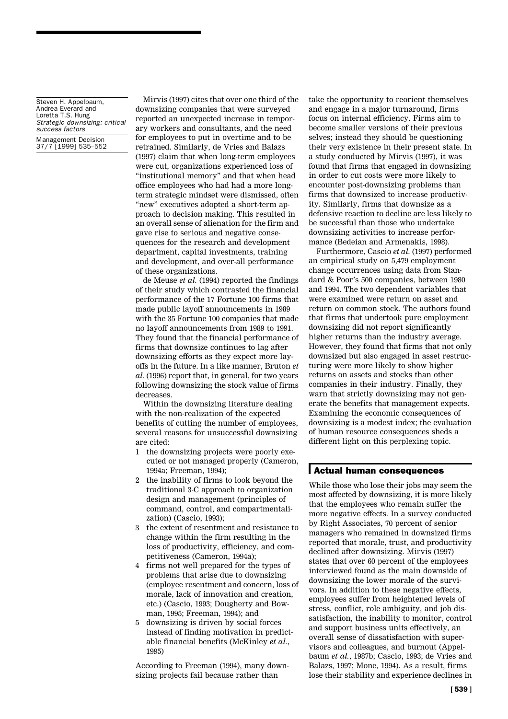Management Decision 37/7 [1999] 535±552

Mirvis (1997) cites that over one third of the downsizing companies that were surveyed reported an unexpected increase in temporary workers and consultants, and the need for employees to put in overtime and to be retrained. Similarly, de Vries and Balazs (1997) claim that when long-term employees were cut, organizations experienced loss of ``institutional memory'' and that when head office employees who had had a more longterm strategic mindset were dismissed, often ``new'' executives adopted a short-term approach to decision making. This resulted in an overall sense of alienation for the firm and gave rise to serious and negative consequences for the research and development department, capital investments, training and development, and over-all performance of these organizations.

de Meuse et al. (1994) reported the findings of their study which contrasted the financial performance of the 17 Fortune 100 firms that made public layoff announcements in 1989 with the 35 Fortune 100 companies that made no layoff announcements from 1989 to 1991. They found that the financial performance of firms that downsize continues to lag after downsizing efforts as they expect more layoffs in the future. In a like manner, Bruton et al. (1996) report that, in general, for two years following downsizing the stock value of firms decreases.

Within the downsizing literature dealing with the non-realization of the expected benefits of cutting the number of employees, several reasons for unsuccessful downsizing are cited:

- 1 the downsizing projects were poorly executed or not managed properly (Cameron, 1994a; Freeman, 1994);
- 2 the inability of firms to look beyond the traditional 3-C approach to organization design and management (principles of command, control, and compartmentalization) (Cascio, 1993);
- 3 the extent of resentment and resistance to change within the firm resulting in the loss of productivity, efficiency, and competitiveness (Cameron, 1994a);
- 4 firms not well prepared for the types of problems that arise due to downsizing (employee resentment and concern, loss of morale, lack of innovation and creation, etc.) (Cascio, 1993; Dougherty and Bowman, 1995; Freeman, 1994); and
- 5 downsizing is driven by social forces instead of finding motivation in predictable financial benefits (McKinley et al., 1995)

According to Freeman (1994), many downsizing projects fail because rather than

take the opportunity to reorient themselves and engage in a major turnaround, firms focus on internal efficiency. Firms aim to become smaller versions of their previous selves; instead they should be questioning their very existence in their present state. In a study conducted by Mirvis (1997), it was found that firms that engaged in downsizing in order to cut costs were more likely to encounter post-downsizing problems than firms that downsized to increase productivity. Similarly, firms that downsize as a defensive reaction to decline are less likely to be successful than those who undertake downsizing activities to increase performance (Bedeian and Armenakis, 1998).

Furthermore, Cascio et al. (1997) performed an empirical study on 5,479 employment change occurrences using data from Standard & Poor's 500 companies, between 1980 and 1994. The two dependent variables that were examined were return on asset and return on common stock. The authors found that firms that undertook pure employment downsizing did not report significantly higher returns than the industry average. However, they found that firms that not only downsized but also engaged in asset restructuring were more likely to show higher returns on assets and stocks than other companies in their industry. Finally, they warn that strictly downsizing may not generate the benefits that management expects. Examining the economic consequences of downsizing is a modest index; the evaluation of human resource consequences sheds a different light on this perplexing topic.

# Actual human consequences

While those who lose their jobs may seem the most affected by downsizing, it is more likely that the employees who remain suffer the more negative effects. In a survey conducted by Right Associates, 70 percent of senior managers who remained in downsized firms reported that morale, trust, and productivity declined after downsizing. Mirvis (1997) states that over 60 percent of the employees interviewed found as the main downside of downsizing the lower morale of the survivors. In addition to these negative effects, employees suffer from heightened levels of stress, conflict, role ambiguity, and job dissatisfaction, the inability to monitor, control and support business units effectively, an overall sense of dissatisfaction with supervisors and colleagues, and burnout (Appelbaum et al., 1987b; Cascio, 1993; de Vries and Balazs, 1997; Mone, 1994). As a result, firms lose their stability and experience declines in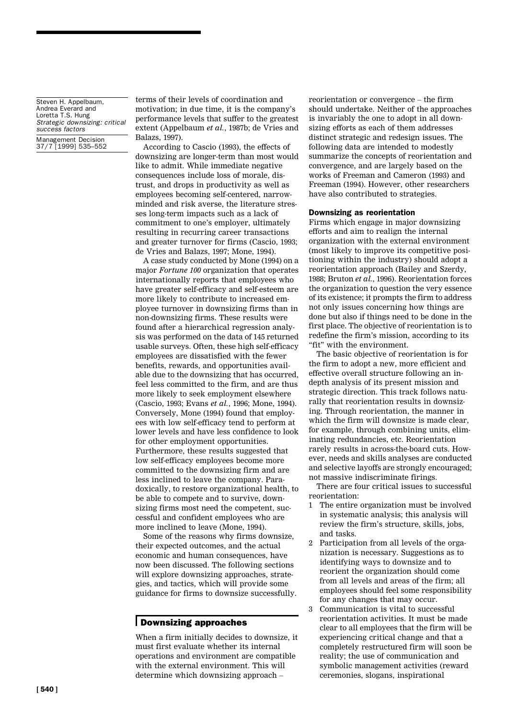Management Decision<br>37/7 [1999] 535–552

terms of their levels of coordination and motivation; in due time, it is the company's performance levels that suffer to the greatest extent (Appelbaum et al., 1987b; de Vries and Balazs, 1997).

According to Cascio (1993), the effects of downsizing are longer-term than most would like to admit. While immediate negative consequences include loss of morale, distrust, and drops in productivity as well as employees becoming self-centered, narrowminded and risk averse, the literature stresses long-term impacts such as a lack of commitment to one's employer, ultimately resulting in recurring career transactions and greater turnover for firms (Cascio, 1993; de Vries and Balazs, 1997; Mone, 1994).

A case study conducted by Mone (1994) on a major Fortune 100 organization that operates internationally reports that employees who have greater self-efficacy and self-esteem are more likely to contribute to increased employee turnover in downsizing firms than in non-downsizing firms. These results were found after a hierarchical regression analysis was performed on the data of 145 returned usable surveys. Often, these high self-efficacy employees are dissatisfied with the fewer benefits, rewards, and opportunities available due to the downsizing that has occurred, feel less committed to the firm, and are thus more likely to seek employment elsewhere (Cascio, 1993; Evans et al., 1996; Mone, 1994). Conversely, Mone (1994) found that employees with low self-efficacy tend to perform at lower levels and have less confidence to look for other employment opportunities. Furthermore, these results suggested that low self-efficacy employees become more committed to the downsizing firm and are less inclined to leave the company. Paradoxically, to restore organizational health, to be able to compete and to survive, downsizing firms most need the competent, successful and confident employees who are more inclined to leave (Mone, 1994).

Some of the reasons why firms downsize, their expected outcomes, and the actual economic and human consequences, have now been discussed. The following sections will explore downsizing approaches, strategies, and tactics, which will provide some guidance for firms to downsize successfully.

# Downsizing approaches

When a firm initially decides to downsize, it must first evaluate whether its internal operations and environment are compatible with the external environment. This will determine which downsizing approach -

reorientation or convergence – the firm should undertake. Neither of the approaches is invariably the one to adopt in all downsizing efforts as each of them addresses distinct strategic and redesign issues. The following data are intended to modestly summarize the concepts of reorientation and convergence, and are largely based on the works of Freeman and Cameron (1993) and Freeman (1994). However, other researchers have also contributed to strategies.

## Downsizing as reorientation

Firms which engage in major downsizing efforts and aim to realign the internal organization with the external environment (most likely to improve its competitive positioning within the industry) should adopt a reorientation approach (Bailey and Szerdy, 1988; Bruton et al., 1996). Reorientation forces the organization to question the very essence of its existence; it prompts the firm to address not only issues concerning how things are done but also if things need to be done in the first place. The objective of reorientation is to redefine the firm's mission, according to its ``fit'' with the environment.

The basic objective of reorientation is for the firm to adopt a new, more efficient and effective overall structure following an indepth analysis of its present mission and strategic direction. This track follows naturally that reorientation results in downsizing. Through reorientation, the manner in which the firm will downsize is made clear, for example, through combining units, eliminating redundancies, etc. Reorientation rarely results in across-the-board cuts. However, needs and skills analyses are conducted and selective layoffs are strongly encouraged; not massive indiscriminate firings.

There are four critical issues to successful reorientation:

- 1 The entire organization must be involved in systematic analysis; this analysis will review the firm's structure, skills, jobs, and tasks.
- 2 Participation from all levels of the organization is necessary. Suggestions as to identifying ways to downsize and to reorient the organization should come from all levels and areas of the firm; all employees should feel some responsibility for any changes that may occur.
- 3 Communication is vital to successful reorientation activities. It must be made clear to all employees that the firm will be experiencing critical change and that a completely restructured firm will soon be reality; the use of communication and symbolic management activities (reward ceremonies, slogans, inspirational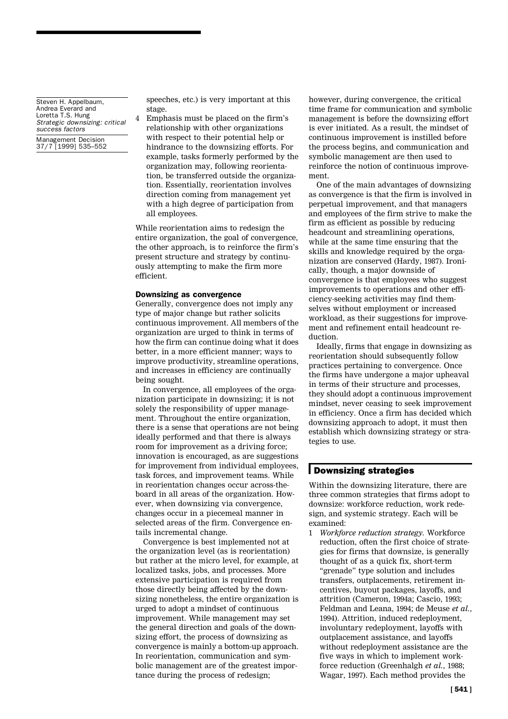Management Decision<br>37/7 [1999] 535–552

speeches, etc.) is very important at this stage.

4 Emphasis must be placed on the firm's relationship with other organizations with respect to their potential help or hindrance to the downsizing efforts. For example, tasks formerly performed by the organization may, following reorientation, be transferred outside the organization. Essentially, reorientation involves direction coming from management yet with a high degree of participation from all employees.

While reorientation aims to redesign the entire organization, the goal of convergence, the other approach, is to reinforce the firm's present structure and strategy by continuously attempting to make the firm more efficient.

## Downsizing as convergence

Generally, convergence does not imply any type of major change but rather solicits continuous improvement. All members of the organization are urged to think in terms of how the firm can continue doing what it does better, in a more efficient manner; ways to improve productivity, streamline operations, and increases in efficiency are continually being sought.

In convergence, all employees of the organization participate in downsizing; it is not solely the responsibility of upper management. Throughout the entire organization, there is a sense that operations are not being ideally performed and that there is always room for improvement as a driving force; innovation is encouraged, as are suggestions for improvement from individual employees, task forces, and improvement teams. While in reorientation changes occur across-theboard in all areas of the organization. However, when downsizing via convergence, changes occur in a piecemeal manner in selected areas of the firm. Convergence entails incremental change.

Convergence is best implemented not at the organization level (as is reorientation) but rather at the micro level, for example, at localized tasks, jobs, and processes. More extensive participation is required from those directly being affected by the downsizing nonetheless, the entire organization is urged to adopt a mindset of continuous improvement. While management may set the general direction and goals of the downsizing effort, the process of downsizing as convergence is mainly a bottom-up approach. In reorientation, communication and symbolic management are of the greatest importance during the process of redesign;

however, during convergence, the critical time frame for communication and symbolic management is before the downsizing effort is ever initiated. As a result, the mindset of continuous improvement is instilled before the process begins, and communication and symbolic management are then used to reinforce the notion of continuous improvement.

One of the main advantages of downsizing as convergence is that the firm is involved in perpetual improvement, and that managers and employees of the firm strive to make the firm as efficient as possible by reducing headcount and streamlining operations, while at the same time ensuring that the skills and knowledge required by the organization are conserved (Hardy, 1987). Ironically, though, a major downside of convergence is that employees who suggest improvements to operations and other efficiency-seeking activities may find themselves without employment or increased workload, as their suggestions for improvement and refinement entail headcount reduction.

Ideally, firms that engage in downsizing as reorientation should subsequently follow practices pertaining to convergence. Once the firms have undergone a major upheaval in terms of their structure and processes, they should adopt a continuous improvement mindset, never ceasing to seek improvement in efficiency. Once a firm has decided which downsizing approach to adopt, it must then establish which downsizing strategy or strategies to use.

# Downsizing strategies

Within the downsizing literature, there are three common strategies that firms adopt to downsize: workforce reduction, work redesign, and systemic strategy. Each will be examined:

1 Workforce reduction strategy. Workforce reduction, often the first choice of strategies for firms that downsize, is generally thought of as a quick fix, short-term "grenade" type solution and includes transfers, outplacements, retirement incentives, buyout packages, layoffs, and attrition (Cameron, 1994a; Cascio, 1993; Feldman and Leana, 1994; de Meuse et al., 1994). Attrition, induced redeployment, involuntary redeployment, layoffs with outplacement assistance, and layoffs without redeployment assistance are the five ways in which to implement workforce reduction (Greenhalgh et al., 1988; Wagar, 1997). Each method provides the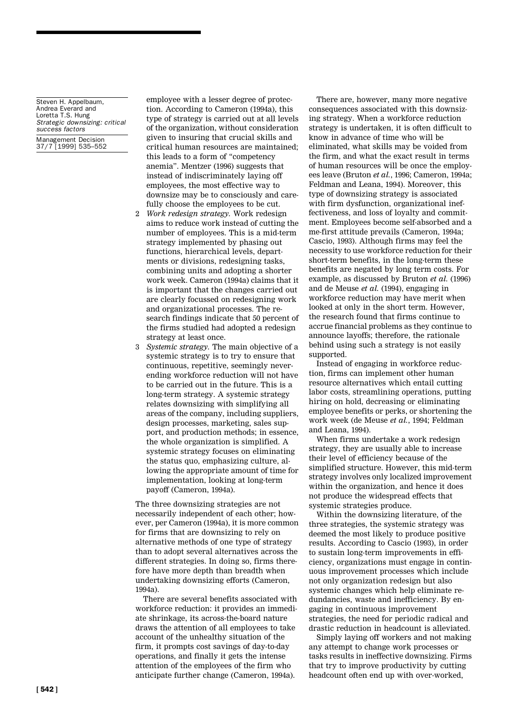Management Decision<br>37/7 [1999] 535–552

employee with a lesser degree of protection. According to Cameron (1994a), this type of strategy is carried out at all levels of the organization, without consideration given to insuring that crucial skills and critical human resources are maintained; this leads to a form of "competency anemia''. Mentzer (1996) suggests that instead of indiscriminately laying off employees, the most effective way to downsize may be to consciously and carefully choose the employees to be cut.

- 2 Work redesign strategy. Work redesign aims to reduce work instead of cutting the number of employees. This is a mid-term strategy implemented by phasing out functions, hierarchical levels, departments or divisions, redesigning tasks, combining units and adopting a shorter work week. Cameron (1994a) claims that it is important that the changes carried out are clearly focussed on redesigning work and organizational processes. The research findings indicate that 50 percent of the firms studied had adopted a redesign strategy at least once.
- 3 Systemic strategy. The main objective of a systemic strategy is to try to ensure that continuous, repetitive, seemingly neverending workforce reduction will not have to be carried out in the future. This is a long-term strategy. A systemic strategy relates downsizing with simplifying all areas of the company, including suppliers, design processes, marketing, sales support, and production methods; in essence, the whole organization is simplified. A systemic strategy focuses on eliminating the status quo, emphasizing culture, allowing the appropriate amount of time for implementation, looking at long-term payoff (Cameron, 1994a).

The three downsizing strategies are not necessarily independent of each other; however, per Cameron (1994a), it is more common for firms that are downsizing to rely on alternative methods of one type of strategy than to adopt several alternatives across the different strategies. In doing so, firms therefore have more depth than breadth when undertaking downsizing efforts (Cameron, 1994a).

There are several benefits associated with workforce reduction: it provides an immediate shrinkage, its across-the-board nature draws the attention of all employees to take account of the unhealthy situation of the firm, it prompts cost savings of day-to-day operations, and finally it gets the intense attention of the employees of the firm who anticipate further change (Cameron, 1994a).

There are, however, many more negative consequences associated with this downsizing strategy. When a workforce reduction strategy is undertaken, it is often difficult to know in advance of time who will be eliminated, what skills may be voided from the firm, and what the exact result in terms of human resources will be once the employees leave (Bruton et al., 1996; Cameron, 1994a; Feldman and Leana, 1994). Moreover, this type of downsizing strategy is associated with firm dysfunction, organizational ineffectiveness, and loss of loyalty and commitment. Employees become self-absorbed and a me-first attitude prevails (Cameron, 1994a; Cascio, 1993). Although firms may feel the necessity to use workforce reduction for their short-term benefits, in the long-term these benefits are negated by long term costs. For example, as discussed by Bruton et al. (1996) and de Meuse et al. (1994), engaging in workforce reduction may have merit when looked at only in the short term. However, the research found that firms continue to accrue financial problems as they continue to announce layoffs; therefore, the rationale behind using such a strategy is not easily supported.

Instead of engaging in workforce reduction, firms can implement other human resource alternatives which entail cutting labor costs, streamlining operations, putting hiring on hold, decreasing or eliminating employee benefits or perks, or shortening the work week (de Meuse et al., 1994; Feldman and Leana, 1994).

When firms undertake a work redesign strategy, they are usually able to increase their level of efficiency because of the simplified structure. However, this mid-term strategy involves only localized improvement within the organization, and hence it does not produce the widespread effects that systemic strategies produce.

Within the downsizing literature, of the three strategies, the systemic strategy was deemed the most likely to produce positive results. According to Cascio (1993), in order to sustain long-term improvements in efficiency, organizations must engage in continuous improvement processes which include not only organization redesign but also systemic changes which help eliminate redundancies, waste and inefficiency. By engaging in continuous improvement strategies, the need for periodic radical and drastic reduction in headcount is alleviated.

Simply laying off workers and not making any attempt to change work processes or tasks results in ineffective downsizing. Firms that try to improve productivity by cutting headcount often end up with over-worked,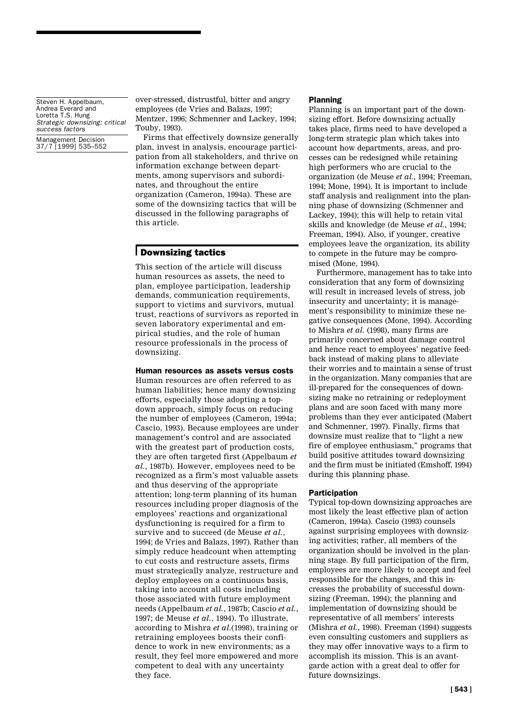Management Decision<br>37/7 [1999] 535–552

over-stressed, distrustful, bitter and angry employees (de Vries and Balazs, 1997; Mentzer, 1996; Schmenner and Lackey, 1994; Touby, 1993).

Firms that effectively downsize generally plan, invest in analysis, encourage participation from all stakeholders, and thrive on information exchange between departments, among supervisors and subordinates, and throughout the entire organization (Cameron, 1994a). These are some of the downsizing tactics that will be discussed in the following paragraphs of this article.

# Downsizing tactics

This section of the article will discuss human resources as assets, the need to plan, employee participation, leadership demands, communication requirements, support to victims and survivors, mutual trust, reactions of survivors as reported in seven laboratory experimental and empirical studies, and the role of human resource professionals in the process of downsizing.

## Human resources as assets versus costs

Human resources are often referred to as human liabilities; hence many downsizing efforts, especially those adopting a topdown approach, simply focus on reducing the number of employees (Cameron, 1994a; Cascio, 1993). Because employees are under management's control and are associated with the greatest part of production costs, they are often targeted first (Appelbaum et al., 1987b). However, employees need to be recognized as a firm's most valuable assets and thus deserving of the appropriate attention; long-term planning of its human resources including proper diagnosis of the employees' reactions and organizational dysfunctioning is required for a firm to survive and to succeed (de Meuse et al., 1994; de Vries and Balazs, 1997). Rather than simply reduce headcount when attempting to cut costs and restructure assets, firms must strategically analyze, restructure and deploy employees on a continuous basis, taking into account all costs including those associated with future employment needs (Appelbaum et al., 1987b; Cascio et al., 1997; de Meuse et al., 1994). To illustrate, according to Mishra et al.(1998), training or retraining employees boosts their confidence to work in new environments; as a result, they feel more empowered and more competent to deal with any uncertainty they face.

## Planning

Planning is an important part of the downsizing effort. Before downsizing actually takes place, firms need to have developed a long-term strategic plan which takes into account how departments, areas, and processes can be redesigned while retaining high performers who are crucial to the organization (de Meuse et al., 1994; Freeman, 1994; Mone, 1994). It is important to include staff analysis and realignment into the planning phase of downsizing (Schmenner and Lackey, 1994); this will help to retain vital skills and knowledge (de Meuse et al., 1994; Freeman, 1994). Also, if younger, creative employees leave the organization, its ability to compete in the future may be compromised (Mone, 1994).

Furthermore, management has to take into consideration that any form of downsizing will result in increased levels of stress, job insecurity and uncertainty; it is management's responsibility to minimize these negative consequences (Mone, 1994). According to Mishra et al. (1998), many firms are primarily concerned about damage control and hence react to employees' negative feedback instead of making plans to alleviate their worries and to maintain a sense of trust in the organization. Many companies that are ill-prepared for the consequences of downsizing make no retraining or redeployment plans and are soon faced with many more problems than they ever anticipated (Mabert and Schmenner, 1997). Finally, firms that downsize must realize that to "light a new fire of employee enthusiasm,'' programs that build positive attitudes toward downsizing and the firm must be initiated (Emshoff, 1994) during this planning phase.

## **Participation**

Typical top-down downsizing approaches are most likely the least effective plan of action (Cameron, 1994a). Cascio (1993) counsels against surprising employees with downsizing activities; rather, all members of the organization should be involved in the planning stage. By full participation of the firm, employees are more likely to accept and feel responsible for the changes, and this increases the probability of successful downsizing (Freeman, 1994); the planning and implementation of downsizing should be representative of all members' interests (Mishra et al., 1998). Freeman (1994) suggests even consulting customers and suppliers as they may offer innovative ways to a firm to accomplish its mission. This is an avantgarde action with a great deal to offer for future downsizings.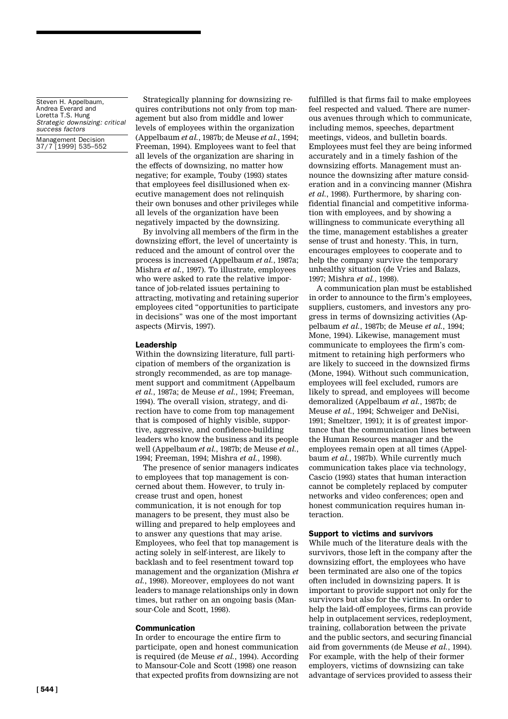Management Decision<br>37/7 [1999] 535–552

Strategically planning for downsizing requires contributions not only from top management but also from middle and lower levels of employees within the organization (Appelbaum et al., 1987b; de Meuse et al., 1994; Freeman, 1994). Employees want to feel that all levels of the organization are sharing in the effects of downsizing, no matter how negative; for example, Touby (1993) states that employees feel disillusioned when executive management does not relinquish their own bonuses and other privileges while all levels of the organization have been negatively impacted by the downsizing.

By involving all members of the firm in the downsizing effort, the level of uncertainty is reduced and the amount of control over the process is increased (Appelbaum et al., 1987a; Mishra et al., 1997). To illustrate, employees who were asked to rate the relative importance of job-related issues pertaining to attracting, motivating and retaining superior employees cited "opportunities to participate in decisions'' was one of the most important aspects (Mirvis, 1997).

## Leadership

Within the downsizing literature, full participation of members of the organization is strongly recommended, as are top management support and commitment (Appelbaum et al., 1987a; de Meuse et al., 1994; Freeman, 1994). The overall vision, strategy, and direction have to come from top management that is composed of highly visible, supportive, aggressive, and confidence-building leaders who know the business and its people well (Appelbaum et al., 1987b; de Meuse et al., 1994; Freeman, 1994; Mishra et al., 1998).

The presence of senior managers indicates to employees that top management is concerned about them. However, to truly increase trust and open, honest communication, it is not enough for top managers to be present, they must also be willing and prepared to help employees and to answer any questions that may arise. Employees, who feel that top management is acting solely in self-interest, are likely to backlash and to feel resentment toward top management and the organization (Mishra et al., 1998). Moreover, employees do not want leaders to manage relationships only in down times, but rather on an ongoing basis (Mansour-Cole and Scott, 1998).

#### Communication

In order to encourage the entire firm to participate, open and honest communication is required (de Meuse et al., 1994). According to Mansour-Cole and Scott (1998) one reason that expected profits from downsizing are not fulfilled is that firms fail to make employees feel respected and valued. There are numerous avenues through which to communicate, including memos, speeches, department meetings, videos, and bulletin boards. Employees must feel they are being informed accurately and in a timely fashion of the downsizing efforts. Management must announce the downsizing after mature consideration and in a convincing manner (Mishra et al., 1998). Furthermore, by sharing confidential financial and competitive information with employees, and by showing a willingness to communicate everything all the time, management establishes a greater sense of trust and honesty. This, in turn, encourages employees to cooperate and to help the company survive the temporary unhealthy situation (de Vries and Balazs, 1997; Mishra et al., 1998).

A communication plan must be established in order to announce to the firm's employees, suppliers, customers, and investors any progress in terms of downsizing activities (Appelbaum et al., 1987b; de Meuse et al., 1994; Mone, 1994). Likewise, management must communicate to employees the firm's commitment to retaining high performers who are likely to succeed in the downsized firms (Mone, 1994). Without such communication, employees will feel excluded, rumors are likely to spread, and employees will become demoralized (Appelbaum et al., 1987b; de Meuse et al., 1994; Schweiger and DeNisi, 1991; Smeltzer, 1991); it is of greatest importance that the communication lines between the Human Resources manager and the employees remain open at all times (Appelbaum et al., 1987b). While currently much communication takes place via technology, Cascio (1993) states that human interaction cannot be completely replaced by computer networks and video conferences; open and honest communication requires human interaction.

#### Support to victims and survivors

While much of the literature deals with the survivors, those left in the company after the downsizing effort, the employees who have been terminated are also one of the topics often included in downsizing papers. It is important to provide support not only for the survivors but also for the victims. In order to help the laid-off employees, firms can provide help in outplacement services, redeployment, training, collaboration between the private and the public sectors, and securing financial aid from governments (de Meuse et al., 1994). For example, with the help of their former employers, victims of downsizing can take advantage of services provided to assess their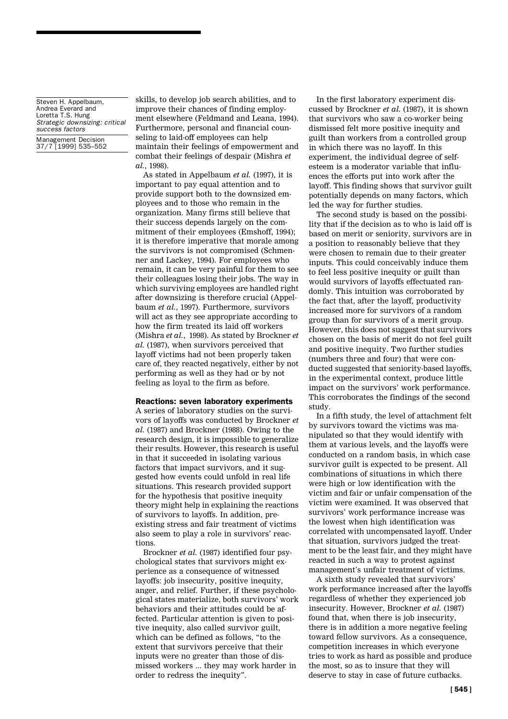Management Decision<br>37/7 [1999] 535–552

skills, to develop job search abilities, and to improve their chances of finding employment elsewhere (Feldmand and Leana, 1994). Furthermore, personal and financial counseling to laid-off employees can help maintain their feelings of empowerment and combat their feelings of despair (Mishra et  $a$ . 1998).

As stated in Appelbaum et al. (1997), it is important to pay equal attention and to provide support both to the downsized employees and to those who remain in the organization. Many firms still believe that their success depends largely on the commitment of their employees (Emshoff, 1994); it is therefore imperative that morale among the survivors is not compromised (Schmenner and Lackey, 1994). For employees who remain, it can be very painful for them to see their colleagues losing their jobs. The way in which surviving employees are handled right after downsizing is therefore crucial (Appelbaum et al., 1997). Furthermore, survivors will act as they see appropriate according to how the firm treated its laid off workers (Mishra *et al.*, 1998). As stated by Brockner *et* al. (1987), when survivors perceived that layoff victims had not been properly taken care of, they reacted negatively, either by not performing as well as they had or by not feeling as loyal to the firm as before.

#### Reactions: seven laboratory experiments

A series of laboratory studies on the survivors of layoffs was conducted by Brockner et al. (1987) and Brockner (1988). Owing to the research design, it is impossible to generalize their results. However, this research is useful in that it succeeded in isolating various factors that impact survivors, and it suggested how events could unfold in real life situations. This research provided support for the hypothesis that positive inequity theory might help in explaining the reactions of survivors to layoffs. In addition, preexisting stress and fair treatment of victims also seem to play a role in survivors' reactions.

Brockner et al. (1987) identified four psychological states that survivors might experience as a consequence of witnessed layoffs: job insecurity, positive inequity, anger, and relief. Further, if these psychological states materialize, both survivors' work behaviors and their attitudes could be affected. Particular attention is given to positive inequity, also called survivor guilt, which can be defined as follows, "to the extent that survivors perceive that their inputs were no greater than those of dismissed workers ... they may work harder in order to redress the inequity''.

In the first laboratory experiment discussed by Brockner et al. (1987), it is shown that survivors who saw a co-worker being dismissed felt more positive inequity and guilt than workers from a controlled group in which there was no layoff. In this experiment, the individual degree of selfesteem is a moderator variable that influences the efforts put into work after the layoff. This finding shows that survivor guilt potentially depends on many factors, which led the way for further studies.

The second study is based on the possibility that if the decision as to who is laid off is based on merit or seniority, survivors are in a position to reasonably believe that they were chosen to remain due to their greater inputs. This could conceivably induce them to feel less positive inequity or guilt than would survivors of layoffs effectuated randomly. This intuition was corroborated by the fact that, after the layoff, productivity increased more for survivors of a random group than for survivors of a merit group. However, this does not suggest that survivors chosen on the basis of merit do not feel guilt and positive inequity. Two further studies (numbers three and four) that were conducted suggested that seniority-based layoffs, in the experimental context, produce little impact on the survivors' work performance. This corroborates the findings of the second study.

In a fifth study, the level of attachment felt by survivors toward the victims was manipulated so that they would identify with them at various levels, and the layoffs were conducted on a random basis, in which case survivor guilt is expected to be present. All combinations of situations in which there were high or low identification with the victim and fair or unfair compensation of the victim were examined. It was observed that survivors' work performance increase was the lowest when high identification was correlated with uncompensated layoff. Under that situation, survivors judged the treatment to be the least fair, and they might have reacted in such a way to protest against management's unfair treatment of victims.

A sixth study revealed that survivors' work performance increased after the layoffs regardless of whether they experienced job insecurity. However, Brockner et al. (1987) found that, when there is job insecurity, there is in addition a more negative feeling toward fellow survivors. As a consequence, competition increases in which everyone tries to work as hard as possible and produce the most, so as to insure that they will deserve to stay in case of future cutbacks.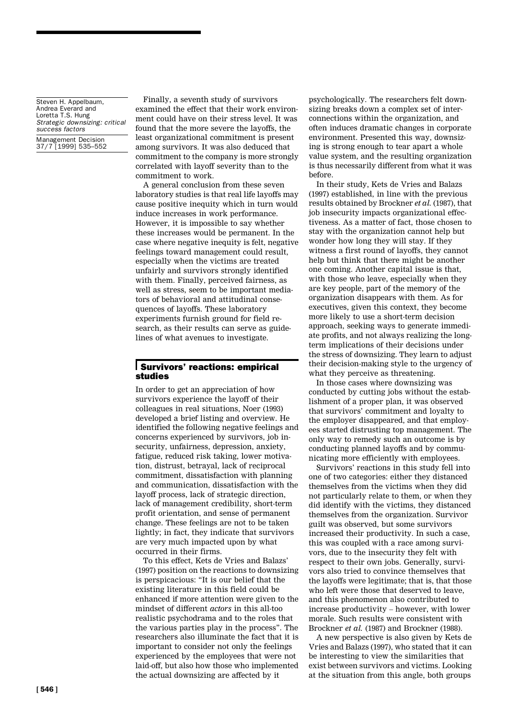Management Decision<br>37/7 [1999] 535–552

Finally, a seventh study of survivors examined the effect that their work environment could have on their stress level. It was found that the more severe the layoffs, the least organizational commitment is present among survivors. It was also deduced that commitment to the company is more strongly correlated with layoff severity than to the commitment to work.

A general conclusion from these seven laboratory studies is that real life layoffs may cause positive inequity which in turn would induce increases in work performance. However, it is impossible to say whether these increases would be permanent. In the case where negative inequity is felt, negative feelings toward management could result, especially when the victims are treated unfairly and survivors strongly identified with them. Finally, perceived fairness, as well as stress, seem to be important mediators of behavioral and attitudinal consequences of layoffs. These laboratory experiments furnish ground for field research, as their results can serve as guidelines of what avenues to investigate.

# Survivors' reactions: empirical studies

In order to get an appreciation of how survivors experience the layoff of their colleagues in real situations, Noer (1993) developed a brief listing and overview. He identified the following negative feelings and concerns experienced by survivors, job insecurity, unfairness, depression, anxiety, fatigue, reduced risk taking, lower motivation, distrust, betrayal, lack of reciprocal commitment, dissatisfaction with planning and communication, dissatisfaction with the layoff process, lack of strategic direction, lack of management credibility, short-term profit orientation, and sense of permanent change. These feelings are not to be taken lightly; in fact, they indicate that survivors are very much impacted upon by what occurred in their firms.

To this effect, Kets de Vries and Balazs' (1997) position on the reactions to downsizing is perspicacious: "It is our belief that the existing literature in this field could be enhanced if more attention were given to the mindset of different actors in this all-too realistic psychodrama and to the roles that the various parties play in the process''. The researchers also illuminate the fact that it is important to consider not only the feelings experienced by the employees that were not laid-off, but also how those who implemented the actual downsizing are affected by it

psychologically. The researchers felt downsizing breaks down a complex set of interconnections within the organization, and often induces dramatic changes in corporate environment. Presented this way, downsizing is strong enough to tear apart a whole value system, and the resulting organization is thus necessarily different from what it was before.

In their study, Kets de Vries and Balazs (1997) established, in line with the previous results obtained by Brockner et al. (1987), that job insecurity impacts organizational effectiveness. As a matter of fact, those chosen to stay with the organization cannot help but wonder how long they will stay. If they witness a first round of layoffs, they cannot help but think that there might be another one coming. Another capital issue is that, with those who leave, especially when they are key people, part of the memory of the organization disappears with them. As for executives, given this context, they become more likely to use a short-term decision approach, seeking ways to generate immediate profits, and not always realizing the longterm implications of their decisions under the stress of downsizing. They learn to adjust their decision-making style to the urgency of what they perceive as threatening.

In those cases where downsizing was conducted by cutting jobs without the establishment of a proper plan, it was observed that survivors' commitment and loyalty to the employer disappeared, and that employees started distrusting top management. The only way to remedy such an outcome is by conducting planned layoffs and by communicating more efficiently with employees.

Survivors' reactions in this study fell into one of two categories: either they distanced themselves from the victims when they did not particularly relate to them, or when they did identify with the victims, they distanced themselves from the organization. Survivor guilt was observed, but some survivors increased their productivity. In such a case, this was coupled with a race among survivors, due to the insecurity they felt with respect to their own jobs. Generally, survivors also tried to convince themselves that the layoffs were legitimate; that is, that those who left were those that deserved to leave, and this phenomenon also contributed to increase productivity - however, with lower morale. Such results were consistent with Brockner et al. (1987) and Brockner (1988).

A new perspective is also given by Kets de Vries and Balazs (1997), who stated that it can be interesting to view the similarities that exist between survivors and victims. Looking at the situation from this angle, both groups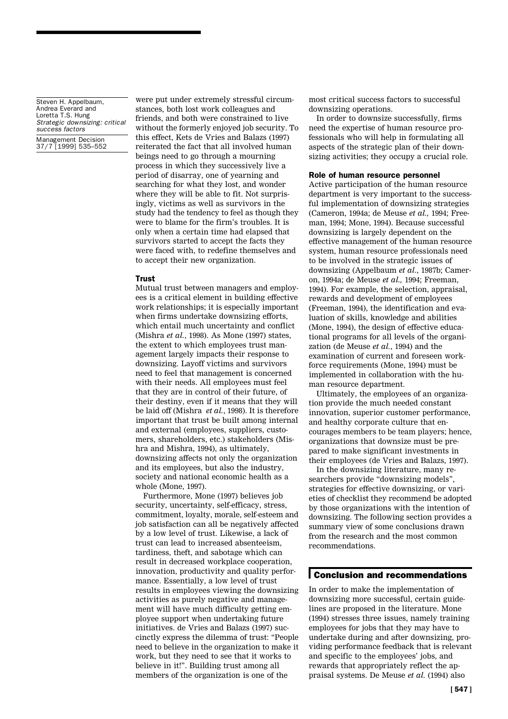Management Decision<br>37/7 [1999] 535–552

were put under extremely stressful circumstances, both lost work colleagues and friends, and both were constrained to live without the formerly enjoyed job security. To this effect, Kets de Vries and Balazs (1997) reiterated the fact that all involved human beings need to go through a mourning process in which they successively live a period of disarray, one of yearning and searching for what they lost, and wonder where they will be able to fit. Not surprisingly, victims as well as survivors in the study had the tendency to feel as though they were to blame for the firm's troubles. It is only when a certain time had elapsed that survivors started to accept the facts they were faced with, to redefine themselves and to accept their new organization.

## Trust

Mutual trust between managers and employees is a critical element in building effective work relationships; it is especially important when firms undertake downsizing efforts, which entail much uncertainty and conflict (Mishra et al., 1998). As Mone (1997) states, the extent to which employees trust management largely impacts their response to downsizing. Layoff victims and survivors need to feel that management is concerned with their needs. All employees must feel that they are in control of their future, of their destiny, even if it means that they will be laid off (Mishra et al., 1998). It is therefore important that trust be built among internal and external (employees, suppliers, customers, shareholders, etc.) stakeholders (Mishra and Mishra, 1994), as ultimately, downsizing affects not only the organization and its employees, but also the industry, society and national economic health as a whole (Mone, 1997).

Furthermore, Mone (1997) believes job security, uncertainty, self-efficacy, stress, commitment, loyalty, morale, self-esteem and job satisfaction can all be negatively affected by a low level of trust. Likewise, a lack of trust can lead to increased absenteeism, tardiness, theft, and sabotage which can result in decreased workplace cooperation, innovation, productivity and quality performance. Essentially, a low level of trust results in employees viewing the downsizing activities as purely negative and management will have much difficulty getting employee support when undertaking future initiatives. de Vries and Balazs (1997) succinctly express the dilemma of trust: ``People need to believe in the organization to make it work, but they need to see that it works to believe in it!''. Building trust among all members of the organization is one of the

most critical success factors to successful downsizing operations.

In order to downsize successfully, firms need the expertise of human resource professionals who will help in formulating all aspects of the strategic plan of their downsizing activities; they occupy a crucial role.

#### Role of human resource personnel

Active participation of the human resource department is very important to the successful implementation of downsizing strategies (Cameron, 1994a; de Meuse et al., 1994; Freeman, 1994; Mone, 1994). Because successful downsizing is largely dependent on the effective management of the human resource system, human resource professionals need to be involved in the strategic issues of downsizing (Appelbaum et al., 1987b; Cameron, 1994a; de Meuse et al., 1994; Freeman, 1994). For example, the selection, appraisal, rewards and development of employees (Freeman, 1994), the identification and evaluation of skills, knowledge and abilities (Mone, 1994), the design of effective educational programs for all levels of the organization (de Meuse et al., 1994) and the examination of current and foreseen workforce requirements (Mone, 1994) must be implemented in collaboration with the human resource department.

Ultimately, the employees of an organization provide the much needed constant innovation, superior customer performance, and healthy corporate culture that encourages members to be team players; hence, organizations that downsize must be prepared to make significant investments in their employees (de Vries and Balazs, 1997).

In the downsizing literature, many researchers provide "downsizing models". strategies for effective downsizing, or varieties of checklist they recommend be adopted by those organizations with the intention of downsizing. The following section provides a summary view of some conclusions drawn from the research and the most common recommendations.

# Conclusion and recommendations

In order to make the implementation of downsizing more successful, certain guidelines are proposed in the literature. Mone (1994) stresses three issues, namely training employees for jobs that they may have to undertake during and after downsizing, providing performance feedback that is relevant and specific to the employees' jobs, and rewards that appropriately reflect the appraisal systems. De Meuse et al. (1994) also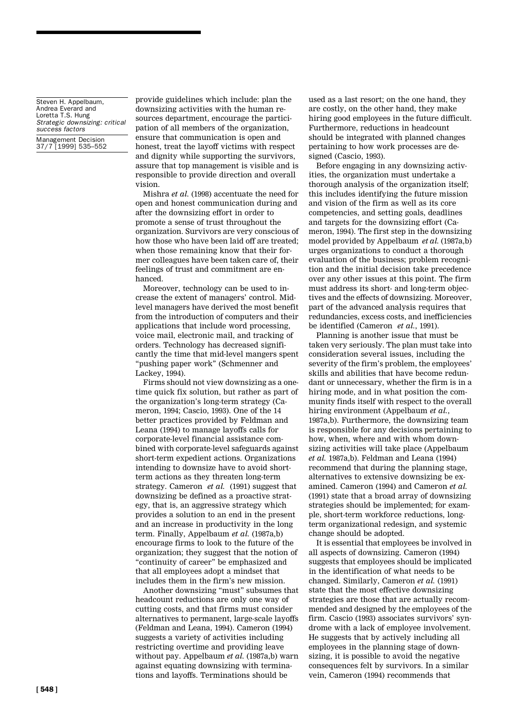Management Decision<br>37/7 [1999] 535–552

provide guidelines which include: plan the downsizing activities with the human resources department, encourage the participation of all members of the organization, ensure that communication is open and honest, treat the layoff victims with respect and dignity while supporting the survivors, assure that top management is visible and is responsible to provide direction and overall vision.

Mishra et al. (1998) accentuate the need for open and honest communication during and after the downsizing effort in order to promote a sense of trust throughout the organization. Survivors are very conscious of how those who have been laid off are treated; when those remaining know that their former colleagues have been taken care of, their feelings of trust and commitment are enhanced.

Moreover, technology can be used to increase the extent of managers' control. Midlevel managers have derived the most benefit from the introduction of computers and their applications that include word processing, voice mail, electronic mail, and tracking of orders. Technology has decreased significantly the time that mid-level mangers spent ``pushing paper work'' (Schmenner and Lackey, 1994).

Firms should not view downsizing as a onetime quick fix solution, but rather as part of the organization's long-term strategy (Cameron, 1994; Cascio, 1993). One of the 14 better practices provided by Feldman and Leana (1994) to manage layoffs calls for corporate-level financial assistance combined with corporate-level safeguards against short-term expedient actions. Organizations intending to downsize have to avoid shortterm actions as they threaten long-term strategy. Cameron *et al.* (1991) suggest that downsizing be defined as a proactive strategy, that is, an aggressive strategy which provides a solution to an end in the present and an increase in productivity in the long term. Finally, Appelbaum et al. (1987a,b) encourage firms to look to the future of the organization; they suggest that the notion of ``continuity of career'' be emphasized and that all employees adopt a mindset that includes them in the firm's new mission.

Another downsizing "must" subsumes that headcount reductions are only one way of cutting costs, and that firms must consider alternatives to permanent, large-scale layoffs (Feldman and Leana, 1994). Cameron (1994) suggests a variety of activities including restricting overtime and providing leave without pay. Appelbaum et al. (1987a,b) warn against equating downsizing with terminations and layoffs. Terminations should be

used as a last resort; on the one hand, they are costly, on the other hand, they make hiring good employees in the future difficult. Furthermore, reductions in headcount should be integrated with planned changes pertaining to how work processes are designed (Cascio, 1993).

Before engaging in any downsizing activities, the organization must undertake a thorough analysis of the organization itself; this includes identifying the future mission and vision of the firm as well as its core competencies, and setting goals, deadlines and targets for the downsizing effort (Cameron, 1994). The first step in the downsizing model provided by Appelbaum et al. (1987a,b) urges organizations to conduct a thorough evaluation of the business; problem recognition and the initial decision take precedence over any other issues at this point. The firm must address its short- and long-term objectives and the effects of downsizing. Moreover, part of the advanced analysis requires that redundancies, excess costs, and inefficiencies be identified (Cameron et al., 1991).

Planning is another issue that must be taken very seriously. The plan must take into consideration several issues, including the severity of the firm's problem, the employees' skills and abilities that have become redundant or unnecessary, whether the firm is in a hiring mode, and in what position the community finds itself with respect to the overall hiring environment (Appelbaum et al., 1987a,b). Furthermore, the downsizing team is responsible for any decisions pertaining to how, when, where and with whom downsizing activities will take place (Appelbaum et al. 1987a,b). Feldman and Leana (1994) recommend that during the planning stage, alternatives to extensive downsizing be examined. Cameron (1994) and Cameron et al. (1991) state that a broad array of downsizing strategies should be implemented; for example, short-term workforce reductions, longterm organizational redesign, and systemic change should be adopted.

It is essential that employees be involved in all aspects of downsizing. Cameron (1994) suggests that employees should be implicated in the identification of what needs to be changed. Similarly, Cameron et al. (1991) state that the most effective downsizing strategies are those that are actually recommended and designed by the employees of the firm. Cascio (1993) associates survivors' syndrome with a lack of employee involvement. He suggests that by actively including all employees in the planning stage of downsizing, it is possible to avoid the negative consequences felt by survivors. In a similar vein, Cameron (1994) recommends that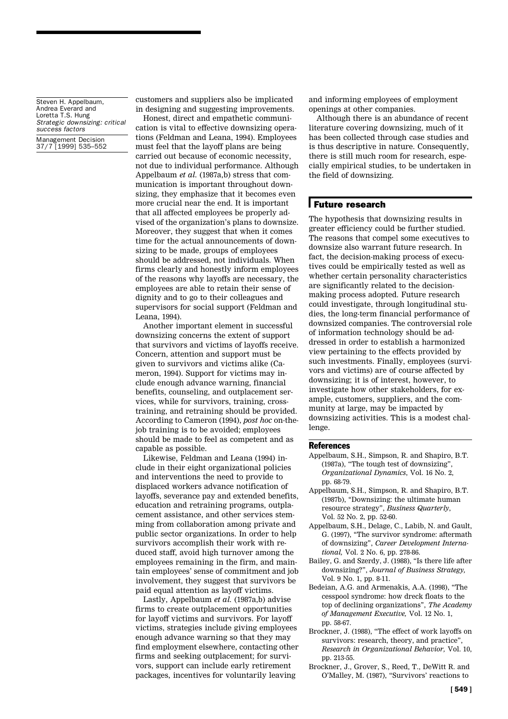Management Decision 37/7 [1999] 535±552 customers and suppliers also be implicated in designing and suggesting improvements.

Honest, direct and empathetic communication is vital to effective downsizing operations (Feldman and Leana, 1994). Employees must feel that the layoff plans are being carried out because of economic necessity, not due to individual performance. Although Appelbaum et al. (1987a,b) stress that communication is important throughout downsizing, they emphasize that it becomes even more crucial near the end. It is important that all affected employees be properly advised of the organization's plans to downsize. Moreover, they suggest that when it comes time for the actual announcements of downsizing to be made, groups of employees should be addressed, not individuals. When firms clearly and honestly inform employees of the reasons why layoffs are necessary, the employees are able to retain their sense of dignity and to go to their colleagues and supervisors for social support (Feldman and Leana, 1994).

Another important element in successful downsizing concerns the extent of support that survivors and victims of layoffs receive. Concern, attention and support must be given to survivors and victims alike (Cameron, 1994). Support for victims may include enough advance warning, financial benefits, counseling, and outplacement services, while for survivors, training, crosstraining, and retraining should be provided. According to Cameron (1994), post hoc on-thejob training is to be avoided; employees should be made to feel as competent and as capable as possible.

Likewise, Feldman and Leana (1994) include in their eight organizational policies and interventions the need to provide to displaced workers advance notification of layoffs, severance pay and extended benefits, education and retraining programs, outplacement assistance, and other services stemming from collaboration among private and public sector organizations. In order to help survivors accomplish their work with reduced staff, avoid high turnover among the employees remaining in the firm, and maintain employees' sense of commitment and job involvement, they suggest that survivors be paid equal attention as layoff victims.

Lastly, Appelbaum et al. (1987a,b) advise firms to create outplacement opportunities for layoff victims and survivors. For layoff victims, strategies include giving employees enough advance warning so that they may find employment elsewhere, contacting other firms and seeking outplacement; for survivors, support can include early retirement packages, incentives for voluntarily leaving

and informing employees of employment openings at other companies.

Although there is an abundance of recent literature covering downsizing, much of it has been collected through case studies and is thus descriptive in nature. Consequently, there is still much room for research, especially empirical studies, to be undertaken in the field of downsizing.

## Future research

The hypothesis that downsizing results in greater efficiency could be further studied. The reasons that compel some executives to downsize also warrant future research. In fact, the decision-making process of executives could be empirically tested as well as whether certain personality characteristics are significantly related to the decisionmaking process adopted. Future research could investigate, through longitudinal studies, the long-term financial performance of downsized companies. The controversial role of information technology should be addressed in order to establish a harmonized view pertaining to the effects provided by such investments. Finally, employees (survivors and victims) are of course affected by downsizing; it is of interest, however, to investigate how other stakeholders, for example, customers, suppliers, and the community at large, may be impacted by downsizing activities. This is a modest challenge.

#### **References**

- Appelbaum, S.H., Simpson, R. and Shapiro, B.T. (1987a), "The tough test of downsizing", Organizational Dynamics, Vol. 16 No. 2, pp. 68-79.
- Appelbaum, S.H., Simpson, R. and Shapiro, B.T. (1987b), "Downsizing: the ultimate human resource strategy'', Business Quarterly, Vol. 52 No. 2, pp. 52-60.
- Appelbaum, S.H., Delage, C., Labib, N. and Gault, G. (1997), "The survivor syndrome: aftermath of downsizing'', Career Development International, Vol. 2 No. 6, pp. 278-86.
- Bailey, G. and Szerdy, J. (1988), "Is there life after downsizing?'', Journal of Business Strategy, Vol. 9 No. 1, pp. 8-11.
- Bedeian, A.G. and Armenakis, A.A. (1998), "The cesspool syndrome: how dreck floats to the top of declining organizations'', The Academy of Management Executive, Vol. 12 No. 1, pp. 58-67.
- Brockner, J. (1988), "The effect of work layoffs on survivors: research, theory, and practice'', Research in Organizational Behavior, Vol. 10, pp. 213-55.
- Brockner, J., Grover, S., Reed, T., DeWitt R. and O'Malley, M. (1987), "Survivors' reactions to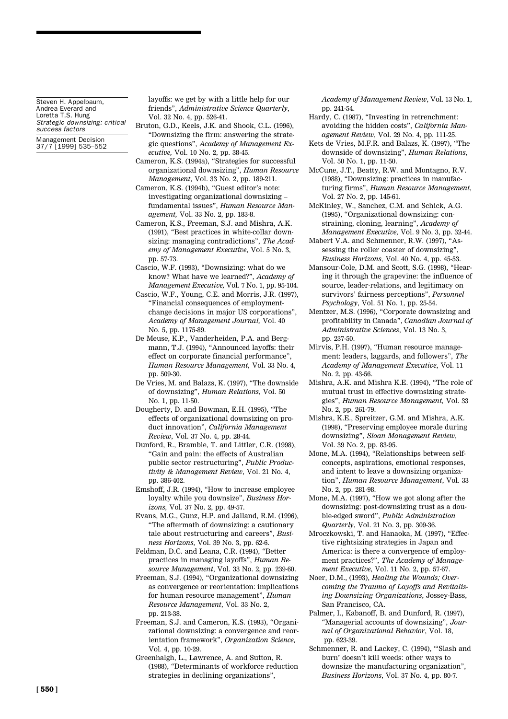Management Decision<br>37/7 [1999] 535–552

- layoffs: we get by with a little help for our friends'', Administrative Science Quarterly, Vol. 32 No. 4, pp. 526-41.
- Bruton, G.D., Keels, J.K. and Shook, C.L. (1996), ``Downsizing the firm: answering the strategic questions'', Academy of Management Executive, Vol. 10 No. 2, pp. 38-45.
- Cameron, K.S. (1994a), "Strategies for successful organizational downsizing'', Human Resource Management, Vol. 33 No. 2, pp. 189-211.
- Cameron, K.S. (1994b), "Guest editor's note: investigating organizational downsizing fundamental issues'', Human Resource Management, Vol. 33 No. 2, pp. 183-8.
- Cameron, K.S., Freeman, S.J. and Mishra, A.K. (1991), "Best practices in white-collar downsizing: managing contradictions'', The Academy of Management Executive, Vol. 5 No. 3, pp. 57-73.
- Cascio, W.F. (1993), "Downsizing: what do we know? What have we learned?'', Academy of Management Executive, Vol. 7 No. 1, pp. 95-104.
- Cascio, W.F., Young, C.E. and Morris, J.R. (1997), ``Financial consequences of employmentchange decisions in major US corporations'', Academy of Management Journal, Vol. 40 No. 5, pp. 1175-89.
- De Meuse, K.P., Vanderheiden, P.A. and Bergmann, T.J. (1994), "Announced layoffs: their effect on corporate financial performance'', Human Resource Management, Vol. 33 No. 4, pp. 509-30.
- De Vries, M. and Balazs, K. (1997), "The downside of downsizing'', Human Relations, Vol. 50 No. 1, pp. 11-50.
- Dougherty, D. and Bowman, E.H. (1995), "The effects of organizational downsizing on product innovation'', California Management Review, Vol. 37 No. 4, pp. 28-44.
- Dunford, R., Bramble, T. and Littler, C.R. (1998), ``Gain and pain: the effects of Australian public sector restructuring'', Public Productivity & Management Review, Vol. 21 No. 4, pp. 386-402.
- Emshoff, J.R. (1994), "How to increase employee loyalty while you downsize", Business Horizons, Vol. 37 No. 2, pp. 49-57.
- Evans, M.G., Gunz, H.P. and Jalland, R.M. (1996), ``The aftermath of downsizing: a cautionary tale about restructuring and careers'', Business Horizons, Vol. 39 No. 3, pp. 62-6.
- Feldman, D.C. and Leana, C.R. (1994), "Better practices in managing layoffs'', Human Resource Management, Vol. 33 No. 2, pp. 239-60.
- Freeman, S.J. (1994), "Organizational downsizing as convergence or reorientation: implications for human resource management'', Human Resource Management, Vol. 33 No. 2, pp. 213-38.
- Freeman, S.J. and Cameron, K.S. (1993), "Organizational downsizing: a convergence and reorientation framework'', Organization Science, Vol. 4, pp. 10-29.
- Greenhalgh, L., Lawrence, A. and Sutton, R. (1988), "Determinants of workforce reduction strategies in declining organizations'',

Academy of Management Review, Vol. 13 No. 1, pp. 241-54.

- Hardy, C. (1987), "Investing in retrenchment: avoiding the hidden costs'', California Management Review, Vol. 29 No. 4, pp. 111-25.
- Kets de Vries, M.F.R. and Balazs, K. (1997), "The downside of downsizing'', Human Relations, Vol. 50 No. 1, pp. 11-50.
- McCune, J.T., Beatty, R.W. and Montagno, R.V. (1988), "Downsizing: practices in manufacturing firms'', Human Resource Management, Vol. 27 No. 2, pp. 145-61.
- McKinley, W., Sanchez, C.M. and Schick, A.G. (1995), "Organizational downsizing: constraining, cloning, learning'', Academy of Management Executive, Vol. 9 No. 3, pp. 32-44.
- Mabert V.A. and Schmenner, R.W. (1997), "Assessing the roller coaster of downsizing" Business Horizons, Vol. 40 No. 4, pp. 45-53.
- Mansour-Cole, D.M. and Scott, S.G. (1998), "Hearing it through the grapevine: the influence of source, leader-relations, and legitimacy on survivors' fairness perceptions'', Personnel Psychology, Vol. 51 No. 1, pp. 25-54.
- Mentzer, M.S. (1996), "Corporate downsizing and profitability in Canada'', Canadian Journal of Administrative Sciences, Vol. 13 No. 3, pp. 237-50.
- Mirvis, P.H. (1997), "Human resource management: leaders, laggards, and followers'', The Academy of Management Executive, Vol. 11 No. 2, pp. 43-56.
- Mishra, A.K. and Mishra K.E. (1994), "The role of mutual trust in effective downsizing strategies'', Human Resource Management, Vol. 33 No. 2, pp. 261-79.
- Mishra, K.E., Spreitzer, G.M. and Mishra, A.K. (1998), "Preserving employee morale during downsizing'', Sloan Management Review, Vol. 39 No. 2, pp. 83-95.
- Mone, M.A. (1994), "Relationships between selfconcepts, aspirations, emotional responses, and intent to leave a downsizing organization'', Human Resource Management, Vol. 33 No. 2, pp. 281-98.
- Mone, M.A. (1997), "How we got along after the downsizing: post-downsizing trust as a double-edged sword'', Public Administration Quarterly, Vol. 21 No. 3, pp. 309-36.
- Mroczkowski, T. and Hanaoka, M. (1997), "Effective rightsizing strategies in Japan and America: is there a convergence of employment practices?'', The Academy of Management Executive, Vol. 11 No. 2, pp. 57-67.
- Noer, D.M., (1993), Healing the Wounds; Overcoming the Trauma of Layoffs and Revitalising Downsizing Organizations, Jossey-Bass, San Francisco, CA.
- Palmer, I., Kabanoff, B. and Dunford, R. (1997), ``Managerial accounts of downsizing'', Journal of Organizational Behavior, Vol. 18, pp. 623-39.
- Schmenner, R. and Lackey, C. (1994), "Slash and burn' doesn't kill weeds: other ways to downsize the manufacturing organization'', Business Horizons, Vol. 37 No. 4, pp. 80-7.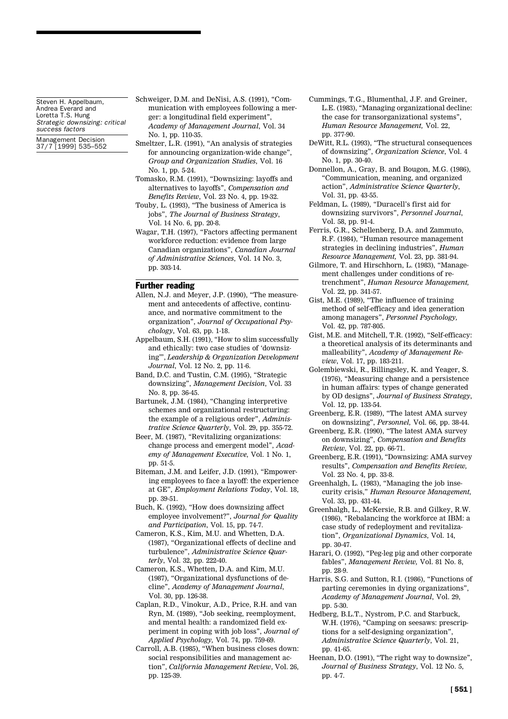Management Decision<br>37/7 [1999] 535–552

- Schweiger, D.M. and DeNisi, A.S. (1991), "Communication with employees following a merger: a longitudinal field experiment'', Academy of Management Journal, Vol. 34 No. 1, pp. 110-35.
- Smeltzer, L.R. (1991), "An analysis of strategies for announcing organization-wide change'', Group and Organization Studies, Vol. 16 No. 1, pp. 5-24.
- Tomasko, R.M. (1991), "Downsizing: layoffs and alternatives to layoffs'', Compensation and Benefits Review, Vol. 23 No. 4, pp. 19-32.
- Touby, L. (1993), "The business of America is jobs'', The Journal of Business Strategy, Vol. 14 No. 6, pp. 20-8.
- Wagar, T.H. (1997), "Factors affecting permanent workforce reduction: evidence from large Canadian organizations'', Canadian Journal of Administrative Sciences, Vol. 14 No. 3, pp. 303-14.

# Further reading

- Allen, N.J. and Meyer, J.P. (1990), "The measurement and antecedents of affective, continuance, and normative commitment to the organization'', Journal of Occupational Psychology, Vol. 63, pp. 1-18.
- Appelbaum, S.H. (1991), "How to slim successfully and ethically: two case studies of `downsizing''', Leadership & Organization Development Journal, Vol. 12 No. 2, pp. 11-6.
- Band, D.C. and Tustin, C.M. (1995), "Strategic downsizing'', Management Decision, Vol. 33 No. 8, pp. 36-45.
- Bartunek, J.M. (1984), "Changing interpretive schemes and organizational restructuring: the example of a religious order", Administrative Science Quarterly, Vol. 29, pp. 355-72.
- Beer, M. (1987), "Revitalizing organizations: change process and emergent model'', Academy of Management Executive, Vol. 1 No. 1, pp. 51-5.
- Biteman, J.M. and Leifer, J.D. (1991), "Empowering employees to face a layoff: the experience at GE'', Employment Relations Today, Vol. 18, pp. 39-51.
- Buch, K. (1992), "How does downsizing affect employee involvement?'', Journal for Quality and Participation, Vol. 15, pp. 74-7.
- Cameron, K.S., Kim, M.U. and Whetten, D.A. (1987), ``Organizational effects of decline and turbulence'', Administrative Science Quarterly, Vol. 32, pp. 222-40.
- Cameron, K.S., Whetten, D.A. and Kim, M.U. (1987), "Organizational dysfunctions of decline'', Academy of Management Journal, Vol. 30, pp. 126-38.
- Caplan, R.D., Vinokur, A.D., Price, R.H. and van Ryn, M. (1989), "Job seeking, reemployment, and mental health: a randomized field experiment in coping with job loss'', Journal of Applied Psychology, Vol. 74, pp. 759-69.
- Carroll, A.B. (1985), "When business closes down: social responsibilities and management action'', California Management Review, Vol. 26, pp. 125-39.
- Cummings, T.G., Blumenthal, J.F. and Greiner, L.E. (1983), "Managing organizational decline: the case for transorganizational systems'', Human Resource Management, Vol. 22, pp. 377-90.
- DeWitt, R.L. (1993), "The structural consequences of downsizing'', Organization Science, Vol. 4 No. 1, pp. 30-40.
- Donnellon, A., Gray, B. and Bougon, M.G. (1986), ``Communication, meaning, and organized action'', Administrative Science Quarterly, Vol. 31, pp. 43-55.
- Feldman, L. (1989), "Duracell's first aid for downsizing survivors'', Personnel Journal, Vol. 58, pp. 91-4.
- Ferris, G.R., Schellenberg, D.A. and Zammuto, R.F. (1984), "Human resource management strategies in declining industries", Human Resource Management, Vol. 23, pp. 381-94.
- Gilmore, T. and Hirschhorn, L. (1983), "Management challenges under conditions of retrenchment'', Human Resource Management, Vol. 22, pp. 341-57.
- Gist, M.E. (1989), "The influence of training method of self-efficacy and idea generation among managers'', Personnel Psychology, Vol. 42, pp. 787-805.
- Gist, M.E. and Mitchell, T.R. (1992), "Self-efficacy: a theoretical analysis of its determinants and malleability'', Academy of Management Review, Vol. 17, pp. 183-211.
- Golembiewski, R., Billingsley, K. and Yeager, S. (1976), ``Measuring change and a persistence in human affairs: types of change generated by OD designs'', Journal of Business Strategy, Vol. 12, pp. 133-54.
- Greenberg, E.R. (1989), "The latest AMA survey on downsizing'', Personnel, Vol. 66, pp. 38-44.
- Greenberg, E.R. (1990), "The latest AMA survey on downsizing'', Compensation and Benefits Review, Vol. 22, pp. 66-71.
- Greenberg, E.R. (1991), "Downsizing: AMA survey results'', Compensation and Benefits Review, Vol. 23 No. 4, pp. 33-8.
- Greenhalgh, L. (1983), "Managing the job insecurity crisis," Human Resource Management, Vol. 33, pp. 431-44.
- Greenhalgh, L., McKersie, R.B. and Gilkey, R.W. (1986), "Rebalancing the workforce at IBM: a case study of redeployment and revitalization'', Organizational Dynamics, Vol. 14, pp. 30-47.
- Harari, O. (1992), "Peg-leg pig and other corporate fables'', Management Review, Vol. 81 No. 8, pp. 28-9.
- Harris, S.G. and Sutton, R.I. (1986), "Functions of parting ceremonies in dying organizations'', Academy of Management Journal, Vol. 29, pp. 5-30.
- Hedberg, B.L.T., Nystrom, P.C. and Starbuck, W.H. (1976), "Camping on seesaws: prescriptions for a self-designing organization'', Administrative Science Quarterly, Vol. 21, pp. 41-65.
- Heenan, D.O. (1991), "The right way to downsize", Journal of Business Strategy, Vol. 12 No. 5, pp. 4-7.